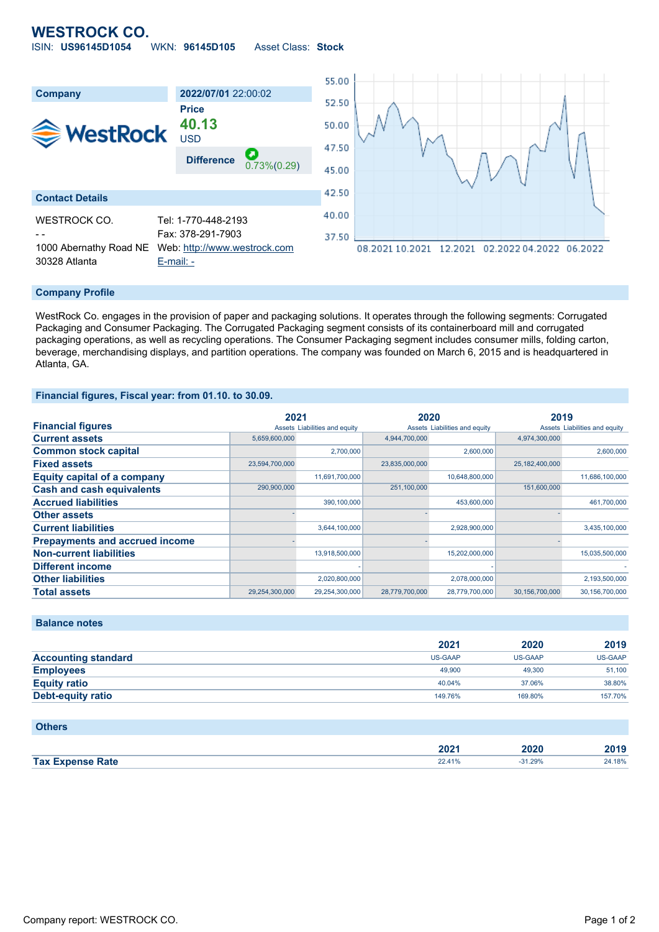## **WESTROCK CO.** ISIN: **US96145D1054** WKN: **96145D105** Asset Class: **Stock**



### **Company Profile**

WestRock Co. engages in the provision of paper and packaging solutions. It operates through the following segments: Corrugated Packaging and Consumer Packaging. The Corrugated Packaging segment consists of its containerboard mill and corrugated packaging operations, as well as recycling operations. The Consumer Packaging segment includes consumer mills, folding carton, beverage, merchandising displays, and partition operations. The company was founded on March 6, 2015 and is headquartered in Atlanta, GA.

### **Financial figures, Fiscal year: from 01.10. to 30.09.**

|                                       | 2021           |                               | 2020           |                               | 2019           |                               |
|---------------------------------------|----------------|-------------------------------|----------------|-------------------------------|----------------|-------------------------------|
| <b>Financial figures</b>              |                | Assets Liabilities and equity |                | Assets Liabilities and equity |                | Assets Liabilities and equity |
| <b>Current assets</b>                 | 5,659,600,000  |                               | 4,944,700,000  |                               | 4,974,300,000  |                               |
| <b>Common stock capital</b>           |                | 2,700,000                     |                | 2,600,000                     |                | 2,600,000                     |
| <b>Fixed assets</b>                   | 23,594,700,000 |                               | 23,835,000,000 |                               | 25,182,400,000 |                               |
| <b>Equity capital of a company</b>    |                | 11,691,700,000                |                | 10,648,800,000                |                | 11,686,100,000                |
| <b>Cash and cash equivalents</b>      | 290,900,000    |                               | 251,100,000    |                               | 151,600,000    |                               |
| <b>Accrued liabilities</b>            |                | 390,100,000                   |                | 453,600,000                   |                | 461,700,000                   |
| <b>Other assets</b>                   |                |                               |                |                               |                |                               |
| <b>Current liabilities</b>            |                | 3,644,100,000                 |                | 2,928,900,000                 |                | 3,435,100,000                 |
| <b>Prepayments and accrued income</b> |                |                               |                |                               |                |                               |
| <b>Non-current liabilities</b>        |                | 13,918,500,000                |                | 15,202,000,000                |                | 15,035,500,000                |
| <b>Different income</b>               |                |                               |                |                               |                |                               |
| <b>Other liabilities</b>              |                | 2,020,800,000                 |                | 2,078,000,000                 |                | 2,193,500,000                 |
| <b>Total assets</b>                   | 29,254,300,000 | 29,254,300,000                | 28,779,700,000 | 28,779,700,000                | 30,156,700,000 | 30,156,700,000                |

## **Balance notes**

|                            | 2021    | 2020    | 2019    |
|----------------------------|---------|---------|---------|
| <b>Accounting standard</b> | US-GAAP | US-GAAP | US-GAAP |
| <b>Employees</b>           | 49,900  | 49,300  | 51,100  |
| <b>Equity ratio</b>        | 40.04%  | 37.06%  | 38.80%  |
| Debt-equity ratio          | 149.76% | 169.80% | 157.70% |

#### **Others**

|                             | ירחר<br>ZUZ | 2020  | $\sim$ |
|-----------------------------|-------------|-------|--------|
| <b>Tax</b><br>Rate<br>mance |             | 1.29% | 18%    |